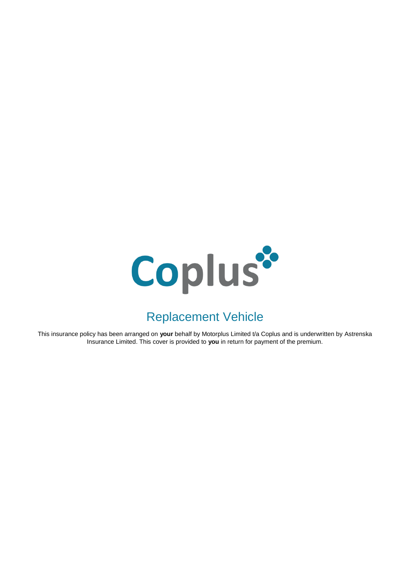

# Replacement Vehicle

This insurance policy has been arranged on **your** behalf by Motorplus Limited t/a Coplus and is underwritten by Astrenska Insurance Limited. This cover is provided to **you** in return for payment of the premium.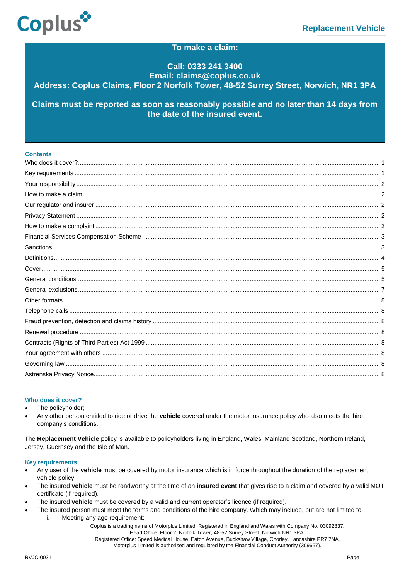

# **To make a claim:**

# **Call: 0333 241 3400 Email: claims@coplus.co.uk Address: Coplus Claims, Floor 2 Norfolk Tower, 48-52 Surrey Street, Norwich, NR1 3PA**

**Claims must be reported as soon as reasonably possible and no later than 14 days from the date of the insured event.**

# **Contents**

#### <span id="page-1-0"></span>**Who does it cover?**

- The policyholder;
- Any other person entitled to ride or drive the **vehicle** covered under the motor insurance policy who also meets the hire company's conditions.

The **Replacement Vehicle** policy is available to policyholders living in England, Wales, Mainland Scotland, Northern Ireland, Jersey, Guernsey and the Isle of Man.

#### <span id="page-1-1"></span>**Key requirements**

- Any user of the **vehicle** must be covered by motor insurance which is in force throughout the duration of the replacement vehicle policy.
- The insured **vehicle** must be roadworthy at the time of an **insured event** that gives rise to a claim and covered by a valid MOT certificate (if required).
- The insured **vehicle** must be covered by a valid and current operator's licence (if required).
- The insured person must meet the terms and conditions of the hire company. Which may include, but are not limited to:
	- i. Meeting any age requirement;

Coplus is a trading name of Motorplus Limited. Registered in England and Wales with Company No. 03092837. Head Office: Floor 2, Norfolk Tower, 48-52 Surrey Street, Norwich NR1 3PA. Registered Office: Speed Medical House, Eaton Avenue, Buckshaw Village, Chorley, Lancashire PR7 7NA.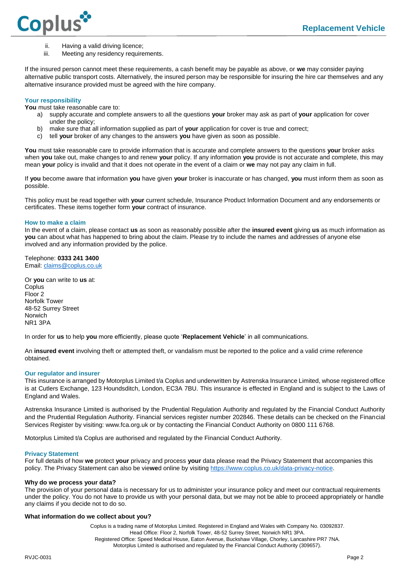

- ii. Having a valid driving licence;
- iii. Meeting any residency requirements.

If the insured person cannot meet these requirements, a cash benefit may be payable as above, or **we** may consider paying alternative public transport costs. Alternatively, the insured person may be responsible for insuring the hire car themselves and any alternative insurance provided must be agreed with the hire company.

# <span id="page-2-0"></span>**Your responsibility**

**You** must take reasonable care to:

- a) supply accurate and complete answers to all the questions **your** broker may ask as part of **your** application for cover under the policy;
- b) make sure that all information supplied as part of **your** application for cover is true and correct;
- c) tell **your** broker of any changes to the answers **you** have given as soon as possible.

**You** must take reasonable care to provide information that is accurate and complete answers to the questions **your** broker asks when **you** take out, make changes to and renew **your** policy. If any information **you** provide is not accurate and complete, this may mean **your** policy is invalid and that it does not operate in the event of a claim or **we** may not pay any claim in full.

If **you** become aware that information **you** have given **your** broker is inaccurate or has changed, **you** must inform them as soon as possible.

This policy must be read together with **your** current schedule, Insurance Product Information Document and any endorsements or certificates. These items together form **your** contract of insurance.

### <span id="page-2-1"></span>**How to make a claim**

In the event of a claim, please contact **us** as soon as reasonably possible after the **insured event** giving **us** as much information as **you** can about what has happened to bring about the claim. Please try to include the names and addresses of anyone else involved and any information provided by the police.

Telephone: **0333 241 3400** Email[: claims@coplus.co.uk](mailto:claims@coplus.co.uk)

Or **you** can write to **us** at: Coplus Floor 2 Norfolk Tower 48-52 Surrey Street Norwich NR1 3PA

In order for **us** to help **you** more efficiently, please quote '**Replacement Vehicle**' in all communications.

An **insured event** involving theft or attempted theft, or vandalism must be reported to the police and a valid crime reference obtained.

#### <span id="page-2-2"></span>**Our regulator and insurer**

This insurance is arranged by Motorplus Limited t/a Coplus and underwritten by Astrenska Insurance Limited, whose registered office is at Cutlers Exchange, 123 Houndsditch, London, EC3A 7BU. This insurance is effected in England and is subject to the Laws of England and Wales.

Astrenska Insurance Limited is authorised by the Prudential Regulation Authority and regulated by the Financial Conduct Authority and the Prudential Regulation Authority. Financial services register number 202846. These details can be checked on the Financial Services Register by visiting: www.fca.org.uk or by contacting the Financial Conduct Authority on 0800 111 6768.

Motorplus Limited t/a Coplus are authorised and regulated by the Financial Conduct Authority.

#### <span id="page-2-3"></span>**Privacy Statement**

For full details of how **we** protect **your** privacy and process **your** data please read the Privacy Statement that accompanies this policy. The Privacy Statement can also be vie**we**d online by visitin[g https://www.coplus.co.uk/data-privacy-notice.](https://www.coplus.co.uk/data-privacy-notice)

#### **Why do we process your data?**

The provision of your personal data is necessary for us to administer your insurance policy and meet our contractual requirements under the policy. You do not have to provide us with your personal data, but we may not be able to proceed appropriately or handle any claims if you decide not to do so.

#### **What information do we collect about you?**

Coplus is a trading name of Motorplus Limited. Registered in England and Wales with Company No. 03092837. Head Office: Floor 2, Norfolk Tower, 48-52 Surrey Street, Norwich NR1 3PA. Registered Office: Speed Medical House, Eaton Avenue, Buckshaw Village, Chorley, Lancashire PR7 7NA. Motorplus Limited is authorised and regulated by the Financial Conduct Authority (309657).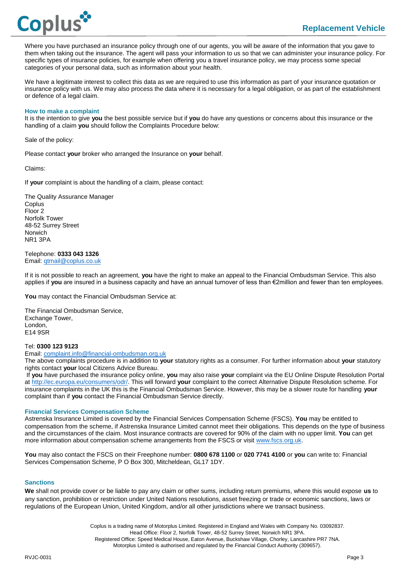

Where you have purchased an insurance policy through one of our agents, you will be aware of the information that you gave to them when taking out the insurance. The agent will pass your information to us so that we can administer your insurance policy. For specific types of insurance policies, for example when offering you a travel insurance policy, we may process some special categories of your personal data, such as information about your health.

We have a legitimate interest to collect this data as we are required to use this information as part of your insurance quotation or insurance policy with us. We may also process the data where it is necessary for a legal obligation, or as part of the establishment or defence of a legal claim.

#### <span id="page-3-0"></span>**How to make a complaint**

It is the intention to give **you** the best possible service but if **you** do have any questions or concerns about this insurance or the handling of a claim **you** should follow the Complaints Procedure below:

Sale of the policy:

Please contact **your** broker who arranged the Insurance on **your** behalf.

Claims:

If **your** complaint is about the handling of a claim, please contact:

The Quality Assurance Manager **Coplus** Floor 2 Norfolk Tower 48-52 Surrey Street Norwich NR1 3PA

#### Telephone: **0333 043 1326** Email[: qtmail@coplus.co.uk](mailto:qtmail@coplus.co.uk)

If it is not possible to reach an agreement, **you** have the right to make an appeal to the Financial Ombudsman Service. This also applies if **you** are insured in a business capacity and have an annual turnover of less than €2million and fewer than ten employees.

**You** may contact the Financial Ombudsman Service at:

The Financial Ombudsman Service, Exchange Tower, London, E14 9SR

# Tel: **0300 123 9123**

Email[: complaint.info@financial-ombudsman.org.uk](mailto:complaint.info@financial-ombudsman.org.uk)

The above complaints procedure is in addition to **your** statutory rights as a consumer. For further information about **your** statutory rights contact **your** local Citizens Advice Bureau.

If **you** have purchased the insurance policy online, **you** may also raise **your** complaint via the EU Online Dispute Resolution Portal at [http://ec.europa.eu/consumers/odr/.](https://protect-eu.mimecast.com/s/N3XsCOgMOF2v6WiEn-Tj) This will forward **your** complaint to the correct Alternative Dispute Resolution scheme. For insurance complaints in the UK this is the Financial Ombudsman Service. However, this may be a slower route for handling **your** complaint than if **you** contact the Financial Ombudsman Service directly.

#### <span id="page-3-1"></span>**Financial Services Compensation Scheme**

Astrenska Insurance Limited is covered by the Financial Services Compensation Scheme (FSCS). **You** may be entitled to compensation from the scheme, if Astrenska Insurance Limited cannot meet their obligations. This depends on the type of business and the circumstances of the claim. Most insurance contracts are covered for 90% of the claim with no upper limit. **You** can get more information about compensation scheme arrangements from the FSCS or visit [www.fscs.org.uk.](http://www.fscs.org.uk/)

<span id="page-3-2"></span>**You** may also contact the FSCS on their Freephone number: **0800 678 1100** or **020 7741 4100** or **you** can write to: Financial Services Compensation Scheme, P O Box 300, Mitcheldean, GL17 1DY.

#### **Sanctions**

**We** shall not provide cover or be liable to pay any claim or other sums, including return premiums, where this would expose **us** to any sanction, prohibition or restriction under United Nations resolutions, asset freezing or trade or economic sanctions, laws or regulations of the European Union, United Kingdom, and/or all other jurisdictions where we transact business.

> Coplus is a trading name of Motorplus Limited. Registered in England and Wales with Company No. 03092837. Head Office: Floor 2, Norfolk Tower, 48-52 Surrey Street, Norwich NR1 3PA. Registered Office: Speed Medical House, Eaton Avenue, Buckshaw Village, Chorley, Lancashire PR7 7NA. Motorplus Limited is authorised and regulated by the Financial Conduct Authority (309657).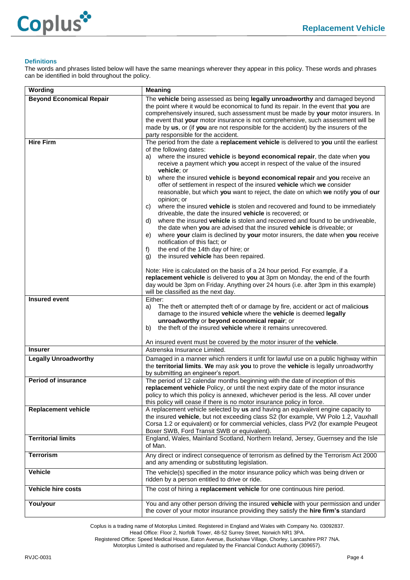



# <span id="page-4-0"></span>**Definitions**

The words and phrases listed below will have the same meanings wherever they appear in this policy. These words and phrases can be identified in bold throughout the policy.

| Wording                                             | <b>Meaning</b>                                                                                                                                                                                                                                                                                                                                                                                                                                                                                                                                                                                                                                                                                                                                                                                                                                                                                                                                                                                                                                                                                                                                                                                                                                                                                                                                                                                              |  |  |
|-----------------------------------------------------|-------------------------------------------------------------------------------------------------------------------------------------------------------------------------------------------------------------------------------------------------------------------------------------------------------------------------------------------------------------------------------------------------------------------------------------------------------------------------------------------------------------------------------------------------------------------------------------------------------------------------------------------------------------------------------------------------------------------------------------------------------------------------------------------------------------------------------------------------------------------------------------------------------------------------------------------------------------------------------------------------------------------------------------------------------------------------------------------------------------------------------------------------------------------------------------------------------------------------------------------------------------------------------------------------------------------------------------------------------------------------------------------------------------|--|--|
| <b>Beyond Economical Repair</b><br><b>Hire Firm</b> | The vehicle being assessed as being legally unroadworthy and damaged beyond<br>the point where it would be economical to fund its repair. In the event that you are<br>comprehensively insured, such assessment must be made by your motor insurers. In<br>the event that your motor insurance is not comprehensive, such assessment will be<br>made by us, or (if you are not responsible for the accident) by the insurers of the<br>party responsible for the accident.                                                                                                                                                                                                                                                                                                                                                                                                                                                                                                                                                                                                                                                                                                                                                                                                                                                                                                                                  |  |  |
|                                                     | The period from the date a replacement vehicle is delivered to you until the earliest<br>of the following dates:<br>where the insured vehicle is beyond economical repair, the date when you<br>a)<br>receive a payment which you accept in respect of the value of the insured<br>vehicle; or<br>where the insured vehicle is beyond economical repair and you receive an<br>b)<br>offer of settlement in respect of the insured vehicle which we consider<br>reasonable, but which you want to reject, the date on which we notify you of our<br>opinion; or<br>where the insured vehicle is stolen and recovered and found to be immediately<br>C)<br>driveable, the date the insured vehicle is recovered; or<br>where the insured vehicle is stolen and recovered and found to be undriveable,<br>d)<br>the date when you are advised that the insured vehicle is driveable; or<br>where your claim is declined by your motor insurers, the date when you receive<br>e)<br>notification of this fact: or<br>the end of the 14th day of hire; or<br>f)<br>the insured vehicle has been repaired.<br>g)<br>Note: Hire is calculated on the basis of a 24 hour period. For example, if a<br>replacement vehicle is delivered to you at 3pm on Monday, the end of the fourth<br>day would be 3pm on Friday. Anything over 24 hours (i.e. after 3pm in this example)<br>will be classified as the next day. |  |  |
| <b>Insured event</b>                                | Either:<br>The theft or attempted theft of or damage by fire, accident or act of malicious<br>a)<br>damage to the insured vehicle where the vehicle is deemed legally<br>unroadworthy or beyond economical repair; or<br>the theft of the insured vehicle where it remains unrecovered.<br>b)<br>An insured event must be covered by the motor insurer of the vehicle.                                                                                                                                                                                                                                                                                                                                                                                                                                                                                                                                                                                                                                                                                                                                                                                                                                                                                                                                                                                                                                      |  |  |
| <b>Insurer</b>                                      | Astrenska Insurance Limited.                                                                                                                                                                                                                                                                                                                                                                                                                                                                                                                                                                                                                                                                                                                                                                                                                                                                                                                                                                                                                                                                                                                                                                                                                                                                                                                                                                                |  |  |
| <b>Legally Unroadworthy</b>                         | Damaged in a manner which renders it unfit for lawful use on a public highway within<br>the territorial limits. We may ask you to prove the vehicle is legally unroadworthy<br>by submitting an engineer's report.                                                                                                                                                                                                                                                                                                                                                                                                                                                                                                                                                                                                                                                                                                                                                                                                                                                                                                                                                                                                                                                                                                                                                                                          |  |  |
| <b>Period of insurance</b>                          | The period of 12 calendar months beginning with the date of inception of this<br>replacement vehicle Policy, or until the next expiry date of the motor insurance<br>policy to which this policy is annexed, whichever period is the less. All cover under<br>this policy will cease if there is no motor insurance policy in force.                                                                                                                                                                                                                                                                                                                                                                                                                                                                                                                                                                                                                                                                                                                                                                                                                                                                                                                                                                                                                                                                        |  |  |
| <b>Replacement vehicle</b>                          | A replacement vehicle selected by us and having an equivalent engine capacity to<br>the insured vehicle, but not exceeding class S2 (for example, VW Polo 1.2, Vauxhall<br>Corsa 1.2 or equivalent) or for commercial vehicles, class PV2 (for example Peugeot<br>Boxer SWB, Ford Transit SWB or equivalent).                                                                                                                                                                                                                                                                                                                                                                                                                                                                                                                                                                                                                                                                                                                                                                                                                                                                                                                                                                                                                                                                                               |  |  |
| <b>Territorial limits</b>                           | England, Wales, Mainland Scotland, Northern Ireland, Jersey, Guernsey and the Isle<br>of Man.                                                                                                                                                                                                                                                                                                                                                                                                                                                                                                                                                                                                                                                                                                                                                                                                                                                                                                                                                                                                                                                                                                                                                                                                                                                                                                               |  |  |
| <b>Terrorism</b>                                    | Any direct or indirect consequence of terrorism as defined by the Terrorism Act 2000<br>and any amending or substituting legislation.                                                                                                                                                                                                                                                                                                                                                                                                                                                                                                                                                                                                                                                                                                                                                                                                                                                                                                                                                                                                                                                                                                                                                                                                                                                                       |  |  |
| <b>Vehicle</b>                                      | The vehicle(s) specified in the motor insurance policy which was being driven or<br>ridden by a person entitled to drive or ride.                                                                                                                                                                                                                                                                                                                                                                                                                                                                                                                                                                                                                                                                                                                                                                                                                                                                                                                                                                                                                                                                                                                                                                                                                                                                           |  |  |
| <b>Vehicle hire costs</b>                           | The cost of hiring a replacement vehicle for one continuous hire period.                                                                                                                                                                                                                                                                                                                                                                                                                                                                                                                                                                                                                                                                                                                                                                                                                                                                                                                                                                                                                                                                                                                                                                                                                                                                                                                                    |  |  |
| You/your                                            | You and any other person driving the insured vehicle with your permission and under<br>the cover of your motor insurance providing they satisfy the <b>hire firm's</b> standard                                                                                                                                                                                                                                                                                                                                                                                                                                                                                                                                                                                                                                                                                                                                                                                                                                                                                                                                                                                                                                                                                                                                                                                                                             |  |  |

Coplus is a trading name of Motorplus Limited. Registered in England and Wales with Company No. 03092837. Head Office: Floor 2, Norfolk Tower, 48-52 Surrey Street, Norwich NR1 3PA. Registered Office: Speed Medical House, Eaton Avenue, Buckshaw Village, Chorley, Lancashire PR7 7NA.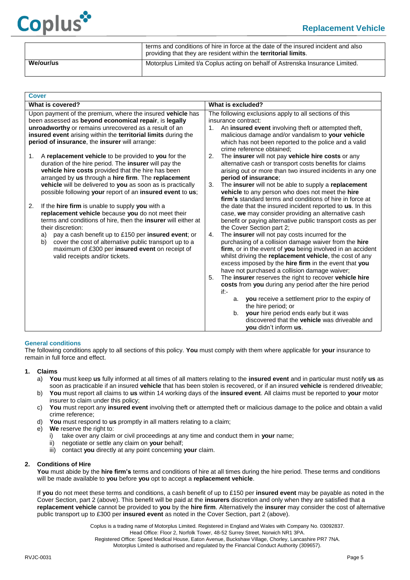

|           | terms and conditions of hire in force at the date of the insured incident and also<br>providing that they are resident within the <b>territorial limits</b> . |  |
|-----------|---------------------------------------------------------------------------------------------------------------------------------------------------------------|--|
| We/our/us | Motorplus Limited t/a Coplus acting on behalf of Astrenska Insurance Limited.                                                                                 |  |

<span id="page-5-0"></span>

| <b>Cover</b> |                                                                                                                                                                                                                                                                                                                                                                                                              |                                                                                                                                                                                                                                                                                                                                                                                                                                                                                                                                                                                                                                                                                                                                                                                                                                                                                                                          |  |
|--------------|--------------------------------------------------------------------------------------------------------------------------------------------------------------------------------------------------------------------------------------------------------------------------------------------------------------------------------------------------------------------------------------------------------------|--------------------------------------------------------------------------------------------------------------------------------------------------------------------------------------------------------------------------------------------------------------------------------------------------------------------------------------------------------------------------------------------------------------------------------------------------------------------------------------------------------------------------------------------------------------------------------------------------------------------------------------------------------------------------------------------------------------------------------------------------------------------------------------------------------------------------------------------------------------------------------------------------------------------------|--|
|              | What is covered?                                                                                                                                                                                                                                                                                                                                                                                             | What is excluded?                                                                                                                                                                                                                                                                                                                                                                                                                                                                                                                                                                                                                                                                                                                                                                                                                                                                                                        |  |
|              | Upon payment of the premium, where the insured vehicle has<br>been assessed as beyond economical repair, is legally<br>unroadworthy or remains unrecovered as a result of an<br>insured event arising within the territorial limits during the<br>period of insurance, the insurer will arrange:                                                                                                             | The following exclusions apply to all sections of this<br>insurance contract:<br>An <b>insured event</b> involving theft or attempted theft,<br>$1_{-}$<br>malicious damage and/or vandalism to your vehicle<br>which has not been reported to the police and a valid<br>crime reference obtained:                                                                                                                                                                                                                                                                                                                                                                                                                                                                                                                                                                                                                       |  |
| 1.           | A replacement vehicle to be provided to you for the<br>duration of the hire period. The insurer will pay the<br>vehicle hire costs provided that the hire has been<br>arranged by us through a hire firm. The replacement<br>vehicle will be delivered to you as soon as is practically<br>possible following your report of an insured event to us;                                                         | The insurer will not pay vehicle hire costs or any<br>2.<br>alternative cash or transport costs benefits for claims<br>arising out or more than two insured incidents in any one<br>period of insurance;<br>The insurer will not be able to supply a replacement<br>3.<br>vehicle to any person who does not meet the hire<br>firm's standard terms and conditions of hire in force at                                                                                                                                                                                                                                                                                                                                                                                                                                                                                                                                   |  |
| 2.           | If the hire firm is unable to supply you with a<br>replacement vehicle because you do not meet their<br>terms and conditions of hire, then the insurer will either at<br>their discretion:<br>pay a cash benefit up to £150 per insured event; or<br>a)<br>cover the cost of alternative public transport up to a<br>b)<br>maximum of £300 per insured event on receipt of<br>valid receipts and/or tickets. | the date that the insured incident reported to <b>us</b> . In this<br>case, we may consider providing an alternative cash<br>benefit or paying alternative public transport costs as per<br>the Cover Section part 2;<br>The insurer will not pay costs incurred for the<br>4.<br>purchasing of a collision damage waiver from the hire<br>firm, or in the event of you being involved in an accident<br>whilst driving the replacement vehicle, the cost of any<br>excess imposed by the hire firm in the event that you<br>have not purchased a collision damage waiver;<br>The insurer reserves the right to recover vehicle hire<br>5.<br>costs from you during any period after the hire period<br>$if -$<br>you receive a settlement prior to the expiry of<br>a.<br>the hire period; or<br>your hire period ends early but it was<br>b.<br>discovered that the vehicle was driveable and<br>you didn't inform us. |  |

# <span id="page-5-1"></span>**General conditions**

The following conditions apply to all sections of this policy. **You** must comply with them where applicable for **your** insurance to remain in full force and effect.

#### **1. Claims**

- a) **You** must keep **us** fully informed at all times of all matters relating to the **insured event** and in particular must notify **us** as soon as practicable if an insured **vehicle** that has been stolen is recovered, or if an insured **vehicle** is rendered driveable;
- b) **You** must report all claims to **us** within 14 working days of the **insured event**. All claims must be reported to **your** motor insurer to claim under this policy;
- c) **You** must report any **insured event** involving theft or attempted theft or malicious damage to the police and obtain a valid crime reference;
- d) **You** must respond to **us** promptly in all matters relating to a claim;
- e) **We** reserve the right to:
	- i) take over any claim or civil proceedings at any time and conduct them in **your** name;
	- ii) negotiate or settle any claim on **your** behalf;
	- iii) contact **you** directly at any point concerning **your** claim.

#### **2. Conditions of Hire**

**You** must abide by the **hire firm's** terms and conditions of hire at all times during the hire period. These terms and conditions will be made available to **you** before **you** opt to accept a **replacement vehicle**.

If **you** do not meet these terms and conditions, a cash benefit of up to £150 per **insured event** may be payable as noted in the Cover Section, part 2 (above). This benefit will be paid at the **insurers** discretion and only when they are satisfied that a **replacement vehicle** cannot be provided to **you** by the **hire firm**. Alternatively the **insurer** may consider the cost of alternative public transport up to £300 per **insured event** as noted in the Cover Section, part 2 (above).

> Coplus is a trading name of Motorplus Limited. Registered in England and Wales with Company No. 03092837. Head Office: Floor 2, Norfolk Tower, 48-52 Surrey Street, Norwich NR1 3PA. Registered Office: Speed Medical House, Eaton Avenue, Buckshaw Village, Chorley, Lancashire PR7 7NA. Motorplus Limited is authorised and regulated by the Financial Conduct Authority (309657).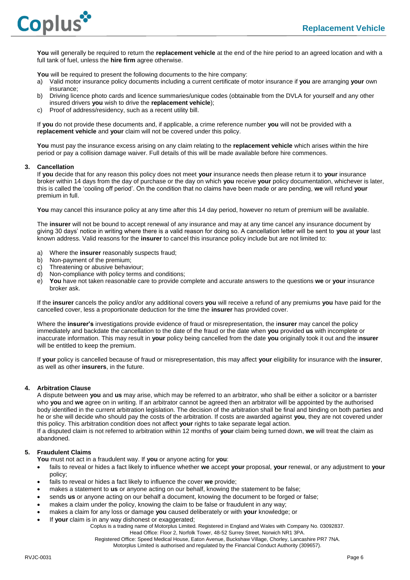

**You** will generally be required to return the **replacement vehicle** at the end of the hire period to an agreed location and with a full tank of fuel, unless the **hire firm** agree otherwise.

**You** will be required to present the following documents to the hire company:

- a) Valid motor insurance policy documents including a current certificate of motor insurance if **you** are arranging **your** own insurance;
- b) Driving licence photo cards and licence summaries/unique codes (obtainable from the DVLA for yourself and any other insured drivers **you** wish to drive the **replacement vehicle**);
- c) Proof of address/residency, such as a recent utility bill.

If **you** do not provide these documents and, if applicable, a crime reference number **you** will not be provided with a **replacement vehicle** and **your** claim will not be covered under this policy.

**You** must pay the insurance excess arising on any claim relating to the **replacement vehicle** which arises within the hire period or pay a collision damage waiver. Full details of this will be made available before hire commences.

#### **3. Cancellation**

If **you** decide that for any reason this policy does not meet **your** insurance needs then please return it to **your** insurance broker within 14 days from the day of purchase or the day on which **you** receive **your** policy documentation, whichever is later, this is called the 'cooling off period'. On the condition that no claims have been made or are pending, **we** will refund **your** premium in full.

You may cancel this insurance policy at any time after this 14 day period, however no return of premium will be available.

The **insurer** will not be bound to accept renewal of any insurance and may at any time cancel any insurance document by giving 30 days' notice in writing where there is a valid reason for doing so. A cancellation letter will be sent to **you** at **your** last known address. Valid reasons for the **insurer** to cancel this insurance policy include but are not limited to:

- a) Where the **insurer** reasonably suspects fraud;
- b) Non-payment of the premium;
- c) Threatening or abusive behaviour;
- d) Non-compliance with policy terms and conditions;
- e) **You** have not taken reasonable care to provide complete and accurate answers to the questions **we** or **your** insurance broker ask.

If the **insurer** cancels the policy and/or any additional covers **you** will receive a refund of any premiums **you** have paid for the cancelled cover, less a proportionate deduction for the time the **insurer** has provided cover.

Where the **insurer's** investigations provide evidence of fraud or misrepresentation, the i**nsurer** may cancel the policy immediately and backdate the cancellation to the date of the fraud or the date when **you** provided **us** with incomplete or inaccurate information. This may result in **your** policy being cancelled from the date **you** originally took it out and the i**nsurer** will be entitled to keep the premium.

If **your** policy is cancelled because of fraud or misrepresentation, this may affect **your** eligibility for insurance with the **insurer**, as well as other **insurers**, in the future.

#### **4. Arbitration Clause**

A dispute between **you** and **us** may arise, which may be referred to an arbitrator, who shall be either a solicitor or a barrister who **you** and **we** agree on in writing. If an arbitrator cannot be agreed then an arbitrator will be appointed by the authorised body identified in the current arbitration legislation. The decision of the arbitration shall be final and binding on both parties and he or she will decide who should pay the costs of the arbitration. If costs are awarded against **you**, they are not covered under this policy. This arbitration condition does not affect **your** rights to take separate legal action.

If a disputed claim is not referred to arbitration within 12 months of **your** claim being turned down, **we** will treat the claim as abandoned.

# **5. Fraudulent Claims**

**You** must not act in a fraudulent way. If **you** or anyone acting for **you**:

- fails to reveal or hides a fact likely to influence whether **we** accept **your** proposal, **your** renewal, or any adjustment to **your** policy;
- fails to reveal or hides a fact likely to influence the cover **we** provide;
- makes a statement to **us** or anyone acting on our behalf, knowing the statement to be false;
- sends **us** or anyone acting on our behalf a document, knowing the document to be forged or false;
- makes a claim under the policy, knowing the claim to be false or fraudulent in any way;
- makes a claim for any loss or damage **you** caused deliberately or with **your** knowledge; or
- If **your** claim is in any way dishonest or exaggerated;

Coplus is a trading name of Motorplus Limited. Registered in England and Wales with Company No. 03092837.

Head Office: Floor 2, Norfolk Tower, 48-52 Surrey Street, Norwich NR1 3PA.

Registered Office: Speed Medical House, Eaton Avenue, Buckshaw Village, Chorley, Lancashire PR7 7NA.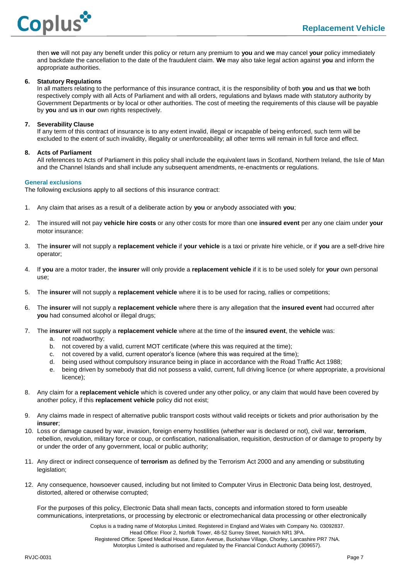

then **we** will not pay any benefit under this policy or return any premium to **you** and **we** may cancel **your** policy immediately and backdate the cancellation to the date of the fraudulent claim. **We** may also take legal action against **you** and inform the appropriate authorities.

#### **6. Statutory Regulations**

In all matters relating to the performance of this insurance contract, it is the responsibility of both **you** and **us** that **we** both respectively comply with all Acts of Parliament and with all orders, regulations and bylaws made with statutory authority by Government Departments or by local or other authorities. The cost of meeting the requirements of this clause will be payable by **you** and **us** in **our** own rights respectively.

#### **7. Severability Clause**

If any term of this contract of insurance is to any extent invalid, illegal or incapable of being enforced, such term will be excluded to the extent of such invalidity, illegality or unenforceability; all other terms will remain in full force and effect.

#### **8. Acts of Parliament**

All references to Acts of Parliament in this policy shall include the equivalent laws in Scotland, Northern Ireland, the Isle of Man and the Channel Islands and shall include any subsequent amendments, re-enactments or regulations.

#### <span id="page-7-0"></span>**General exclusions**

The following exclusions apply to all sections of this insurance contract:

- 1. Any claim that arises as a result of a deliberate action by **you** or anybody associated with **you**;
- 2. The insured will not pay **vehicle hire costs** or any other costs for more than one **insured event** per any one claim under **your** motor insurance:
- 3. The **insurer** will not supply a **replacement vehicle** if **your vehicle** is a taxi or private hire vehicle, or if **you** are a self-drive hire operator;
- 4. If **you** are a motor trader, the **insurer** will only provide a **replacement vehicle** if it is to be used solely for **your** own personal use;
- 5. The **insurer** will not supply a **replacement vehicle** where it is to be used for racing, rallies or competitions;
- 6. The **insurer** will not supply a **replacement vehicle** where there is any allegation that the **insured event** had occurred after **you** had consumed alcohol or illegal drugs;
- 7. The **insurer** will not supply a **replacement vehicle** where at the time of the **insured event**, the **vehicle** was:
	- a. not roadworthy;
	- b. not covered by a valid, current MOT certificate (where this was required at the time);
	- c. not covered by a valid, current operator's licence (where this was required at the time);
	- d. being used without compulsory insurance being in place in accordance with the Road Traffic Act 1988;
	- e. being driven by somebody that did not possess a valid, current, full driving licence (or where appropriate, a provisional licence);
- 8. Any claim for a **replacement vehicle** which is covered under any other policy, or any claim that would have been covered by another policy, if this **replacement vehicle** policy did not exist;
- 9. Any claims made in respect of alternative public transport costs without valid receipts or tickets and prior authorisation by the **insurer**;
- 10. Loss or damage caused by war, invasion, foreign enemy hostilities (whether war is declared or not), civil war, **terrorism**, rebellion, revolution, military force or coup, or confiscation, nationalisation, requisition, destruction of or damage to property by or under the order of any government, local or public authority;
- 11. Any direct or indirect consequence of **terrorism** as defined by the Terrorism Act 2000 and any amending or substituting legislation:
- 12. Any consequence, howsoever caused, including but not limited to Computer Virus in Electronic Data being lost, destroyed, distorted, altered or otherwise corrupted;

For the purposes of this policy, Electronic Data shall mean facts, concepts and information stored to form useable communications, interpretations, or processing by electronic or electromechanical data processing or other electronically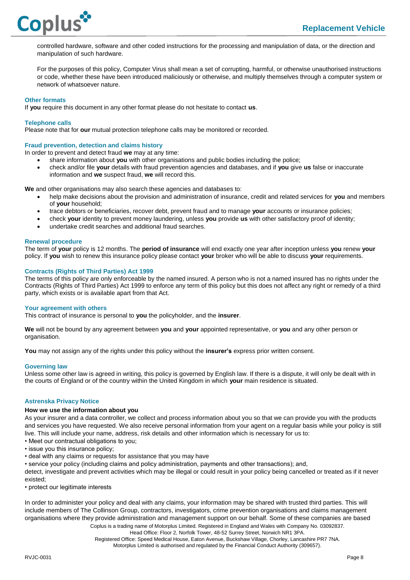

controlled hardware, software and other coded instructions for the processing and manipulation of data, or the direction and manipulation of such hardware.

For the purposes of this policy, Computer Virus shall mean a set of corrupting, harmful, or otherwise unauthorised instructions or code, whether these have been introduced maliciously or otherwise, and multiply themselves through a computer system or network of whatsoever nature.

#### <span id="page-8-0"></span>**Other formats**

If **you** require this document in any other format please do not hesitate to contact **us**.

<span id="page-8-1"></span>**Telephone calls**

Please note that for **our** mutual protection telephone calls may be monitored or recorded.

#### <span id="page-8-2"></span>**Fraud prevention, detection and claims history**

In order to prevent and detect fraud **we** may at any time:

- share information about **you** with other organisations and public bodies including the police;
- check and/or file **your** details with fraud prevention agencies and databases, and if **you** give **us** false or inaccurate information and **we** suspect fraud, **we** will record this.

**We** and other organisations may also search these agencies and databases to:

- help make decisions about the provision and administration of insurance, credit and related services for **you** and members of **your** household;
- trace debtors or beneficiaries, recover debt, prevent fraud and to manage **your** accounts or insurance policies;
- check **your** identity to prevent money laundering, unless **you** provide **us** with other satisfactory proof of identity;
- undertake credit searches and additional fraud searches.

### <span id="page-8-3"></span>**Renewal procedure**

The term of **your** policy is 12 months. The **period of insurance** will end exactly one year after inception unless **you** renew **your** policy. If **you** wish to renew this insurance policy please contact **your** broker who will be able to discuss **your** requirements.

# <span id="page-8-4"></span>**Contracts (Rights of Third Parties) Act 1999**

The terms of this policy are only enforceable by the named insured. A person who is not a named insured has no rights under the Contracts (Rights of Third Parties) Act 1999 to enforce any term of this policy but this does not affect any right or remedy of a third party, which exists or is available apart from that Act.

#### <span id="page-8-5"></span>**Your agreement with others**

This contract of insurance is personal to **you** the policyholder, and the **insurer**.

**We** will not be bound by any agreement between **you** and **your** appointed representative, or **you** and any other person or organisation.

<span id="page-8-6"></span>**You** may not assign any of the rights under this policy without the **insurer's** express prior written consent.

#### **Governing law**

<span id="page-8-7"></span>Unless some other law is agreed in writing, this policy is governed by English law. If there is a dispute, it will only be dealt with in the courts of England or of the country within the United Kingdom in which **your** main residence is situated.

#### **Astrenska Privacy Notice**

#### **How we use the information about you**

As your insurer and a data controller, we collect and process information about you so that we can provide you with the products and services you have requested. We also receive personal information from your agent on a regular basis while your policy is still live. This will include your name, address, risk details and other information which is necessary for us to:

• Meet our contractual obligations to you;

- issue you this insurance policy;
- deal with any claims or requests for assistance that you may have

• service your policy (including claims and policy administration, payments and other transactions); and,

detect, investigate and prevent activities which may be illegal or could result in your policy being cancelled or treated as if it never existed;

• protect our legitimate interests

In order to administer your policy and deal with any claims, your information may be shared with trusted third parties. This will include members of The Collinson Group, contractors, investigators, crime prevention organisations and claims management organisations where they provide administration and management support on our behalf. Some of these companies are based

> Coplus is a trading name of Motorplus Limited. Registered in England and Wales with Company No. 03092837. Head Office: Floor 2, Norfolk Tower, 48-52 Surrey Street, Norwich NR1 3PA. Registered Office: Speed Medical House, Eaton Avenue, Buckshaw Village, Chorley, Lancashire PR7 7NA.